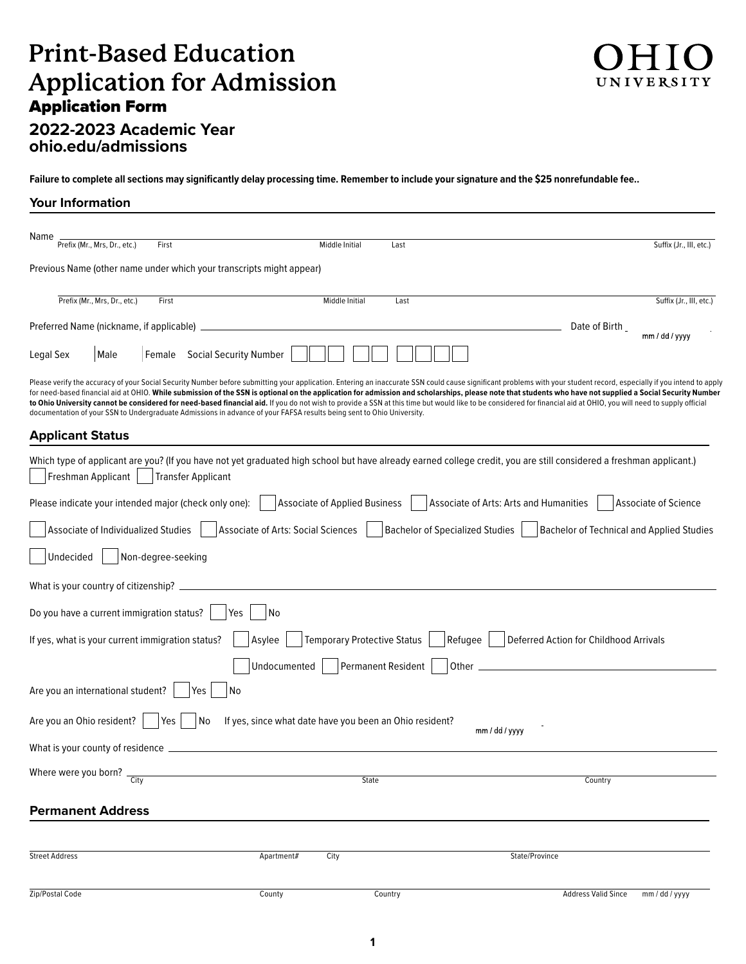# **Print-Based Education Application for Admission**  Application Form



# **2022-2023 Academic Year [ohio.edu/admissions](http://ohio.edu/admissions)**

**Failure to complete all sections may significantly delay processing time. Remember to include your signature and the \$25 nonrefundable fee..** 

#### **Your Information**

| Name<br>Prefix (Mr., Mrs, Dr., etc.)                                                                                                                                                                                                                                                                                                           | First                         |                                                                                                                                                                                                                                                                                                                                                                                                                                 | Middle Initial<br>Last               |                                        |                                                  | Suffix (Jr., III, etc.) |
|------------------------------------------------------------------------------------------------------------------------------------------------------------------------------------------------------------------------------------------------------------------------------------------------------------------------------------------------|-------------------------------|---------------------------------------------------------------------------------------------------------------------------------------------------------------------------------------------------------------------------------------------------------------------------------------------------------------------------------------------------------------------------------------------------------------------------------|--------------------------------------|----------------------------------------|--------------------------------------------------|-------------------------|
| Previous Name (other name under which your transcripts might appear)                                                                                                                                                                                                                                                                           |                               |                                                                                                                                                                                                                                                                                                                                                                                                                                 |                                      |                                        |                                                  |                         |
| Prefix (Mr., Mrs, Dr., etc.)                                                                                                                                                                                                                                                                                                                   | First                         |                                                                                                                                                                                                                                                                                                                                                                                                                                 | Middle Initial<br>Last               |                                        |                                                  | Suffix (Jr., III, etc.) |
| Preferred Name (nickname, if applicable) _                                                                                                                                                                                                                                                                                                     |                               |                                                                                                                                                                                                                                                                                                                                                                                                                                 |                                      |                                        | Date of Birth                                    | mm / dd / yyyy          |
| Legal Sex<br>Male                                                                                                                                                                                                                                                                                                                              | Female Social Security Number |                                                                                                                                                                                                                                                                                                                                                                                                                                 |                                      |                                        |                                                  |                         |
| Please verify the accuracy of your Social Security Number before submitting your application. Entering an inaccurate SSN could cause significant problems with your student record, especially if you intend to apply<br>documentation of your SSN to Undergraduate Admissions in advance of your FAFSA results being sent to Ohio University. |                               | for need-based financial aid at OHIO. While submission of the SSN is optional on the application for admission and scholarships, please note that students who have not supplied a Social Security Number<br>to Ohio University cannot be considered for need-based financial aid. If you do not wish to provide a SSN at this time but would like to be considered for financial aid at OHIO, you will need to supply official |                                      |                                        |                                                  |                         |
| <b>Applicant Status</b>                                                                                                                                                                                                                                                                                                                        |                               |                                                                                                                                                                                                                                                                                                                                                                                                                                 |                                      |                                        |                                                  |                         |
| Which type of applicant are you? (If you have not yet graduated high school but have already earned college credit, you are still considered a freshman applicant.)<br>Freshman Applicant                                                                                                                                                      | Transfer Applicant            |                                                                                                                                                                                                                                                                                                                                                                                                                                 |                                      |                                        |                                                  |                         |
| Please indicate your intended major (check only one):                                                                                                                                                                                                                                                                                          |                               |                                                                                                                                                                                                                                                                                                                                                                                                                                 | <b>Associate of Applied Business</b> | Associate of Arts: Arts and Humanities |                                                  | Associate of Science    |
| Associate of Individualized Studies                                                                                                                                                                                                                                                                                                            |                               | <b>Associate of Arts: Social Sciences</b>                                                                                                                                                                                                                                                                                                                                                                                       |                                      | <b>Bachelor of Specialized Studies</b> | <b>Bachelor of Technical and Applied Studies</b> |                         |
| Undecided                                                                                                                                                                                                                                                                                                                                      | Non-degree-seeking            |                                                                                                                                                                                                                                                                                                                                                                                                                                 |                                      |                                        |                                                  |                         |
| What is your country of citizenship? _                                                                                                                                                                                                                                                                                                         |                               |                                                                                                                                                                                                                                                                                                                                                                                                                                 |                                      |                                        |                                                  |                         |
| Do you have a current immigration status?                                                                                                                                                                                                                                                                                                      |                               | No<br>Yes                                                                                                                                                                                                                                                                                                                                                                                                                       |                                      |                                        |                                                  |                         |
| If yes, what is your current immigration status?                                                                                                                                                                                                                                                                                               |                               | Asylee                                                                                                                                                                                                                                                                                                                                                                                                                          | <b>Temporary Protective Status</b>   | Refugee                                | Deferred Action for Childhood Arrivals           |                         |
|                                                                                                                                                                                                                                                                                                                                                |                               | Undocumented                                                                                                                                                                                                                                                                                                                                                                                                                    | <b>Permanent Resident</b>            | Other <sub>-</sub>                     |                                                  |                         |
| Are you an international student?                                                                                                                                                                                                                                                                                                              | Yes                           | No                                                                                                                                                                                                                                                                                                                                                                                                                              |                                      |                                        |                                                  |                         |
| Are you an Ohio resident?                                                                                                                                                                                                                                                                                                                      | Yes<br>  No                   | If yes, since what date have you been an Ohio resident?                                                                                                                                                                                                                                                                                                                                                                         |                                      | mm / dd / yyyy                         |                                                  |                         |
| What is your county of residence                                                                                                                                                                                                                                                                                                               |                               |                                                                                                                                                                                                                                                                                                                                                                                                                                 |                                      |                                        |                                                  |                         |
| Where were you born?<br>City                                                                                                                                                                                                                                                                                                                   |                               |                                                                                                                                                                                                                                                                                                                                                                                                                                 | State                                |                                        | Country                                          |                         |
| <b>Permanent Address</b>                                                                                                                                                                                                                                                                                                                       |                               |                                                                                                                                                                                                                                                                                                                                                                                                                                 |                                      |                                        |                                                  |                         |
| <b>Street Address</b>                                                                                                                                                                                                                                                                                                                          |                               | Apartment#                                                                                                                                                                                                                                                                                                                                                                                                                      | City                                 | State/Province                         |                                                  |                         |
| Zip/Postal Code                                                                                                                                                                                                                                                                                                                                |                               | County                                                                                                                                                                                                                                                                                                                                                                                                                          | Country                              |                                        | <b>Address Valid Since</b>                       | mm / dd / yyyy          |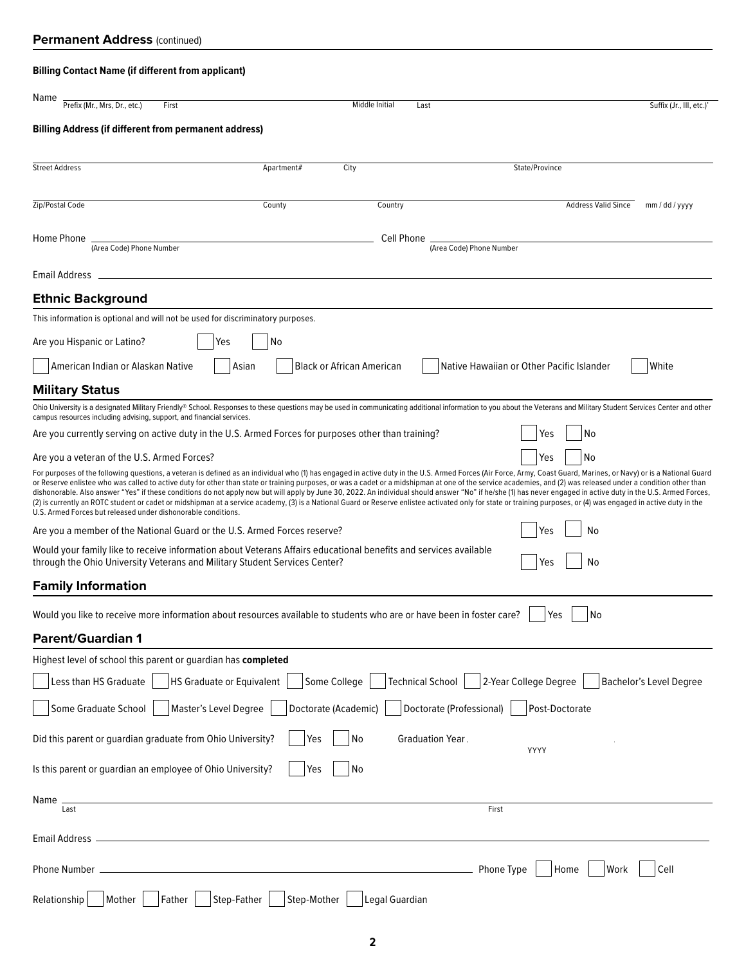## **Billing Contact Name (if different from applicant)**

| Name<br>Prefix (Mr., Mrs, Dr., etc.)<br>First                                                                                                                                                                                                                                                                                                                                                                                                                                                                                                                                                                                                                                                                                                                                                                                                                                                                                                 |             | Middle Initial                   | Last                     |                                           | Suffix (Jr., III, etc.)'       |
|-----------------------------------------------------------------------------------------------------------------------------------------------------------------------------------------------------------------------------------------------------------------------------------------------------------------------------------------------------------------------------------------------------------------------------------------------------------------------------------------------------------------------------------------------------------------------------------------------------------------------------------------------------------------------------------------------------------------------------------------------------------------------------------------------------------------------------------------------------------------------------------------------------------------------------------------------|-------------|----------------------------------|--------------------------|-------------------------------------------|--------------------------------|
| <b>Billing Address (if different from permanent address)</b>                                                                                                                                                                                                                                                                                                                                                                                                                                                                                                                                                                                                                                                                                                                                                                                                                                                                                  |             |                                  |                          |                                           |                                |
| <b>Street Address</b>                                                                                                                                                                                                                                                                                                                                                                                                                                                                                                                                                                                                                                                                                                                                                                                                                                                                                                                         | Apartment#  | City                             |                          | State/Province                            |                                |
|                                                                                                                                                                                                                                                                                                                                                                                                                                                                                                                                                                                                                                                                                                                                                                                                                                                                                                                                               |             |                                  |                          |                                           |                                |
| Zip/Postal Code                                                                                                                                                                                                                                                                                                                                                                                                                                                                                                                                                                                                                                                                                                                                                                                                                                                                                                                               | County      | Country                          |                          | <b>Address Valid Since</b>                | mm / dd / yyyy                 |
| Home Phone                                                                                                                                                                                                                                                                                                                                                                                                                                                                                                                                                                                                                                                                                                                                                                                                                                                                                                                                    |             | Cell Phone                       |                          |                                           |                                |
| (Area Code) Phone Number                                                                                                                                                                                                                                                                                                                                                                                                                                                                                                                                                                                                                                                                                                                                                                                                                                                                                                                      |             |                                  | (Area Code) Phone Number |                                           |                                |
| Email Address                                                                                                                                                                                                                                                                                                                                                                                                                                                                                                                                                                                                                                                                                                                                                                                                                                                                                                                                 |             |                                  |                          |                                           |                                |
| <b>Ethnic Background</b>                                                                                                                                                                                                                                                                                                                                                                                                                                                                                                                                                                                                                                                                                                                                                                                                                                                                                                                      |             |                                  |                          |                                           |                                |
| This information is optional and will not be used for discriminatory purposes.                                                                                                                                                                                                                                                                                                                                                                                                                                                                                                                                                                                                                                                                                                                                                                                                                                                                |             |                                  |                          |                                           |                                |
| Are you Hispanic or Latino?<br>Yes                                                                                                                                                                                                                                                                                                                                                                                                                                                                                                                                                                                                                                                                                                                                                                                                                                                                                                            | No          |                                  |                          |                                           |                                |
| American Indian or Alaskan Native<br>Asian                                                                                                                                                                                                                                                                                                                                                                                                                                                                                                                                                                                                                                                                                                                                                                                                                                                                                                    |             | <b>Black or African American</b> |                          | Native Hawaiian or Other Pacific Islander | White                          |
| <b>Military Status</b>                                                                                                                                                                                                                                                                                                                                                                                                                                                                                                                                                                                                                                                                                                                                                                                                                                                                                                                        |             |                                  |                          |                                           |                                |
| Ohio University is a designated Military Friendly® School. Responses to these questions may be used in communicating additional information to you about the Veterans and Military Student Services Center and other<br>campus resources including advising, support, and financial services.                                                                                                                                                                                                                                                                                                                                                                                                                                                                                                                                                                                                                                                 |             |                                  |                          |                                           |                                |
| Are you currently serving on active duty in the U.S. Armed Forces for purposes other than training?                                                                                                                                                                                                                                                                                                                                                                                                                                                                                                                                                                                                                                                                                                                                                                                                                                           |             |                                  |                          | No<br>Yes                                 |                                |
| Are you a veteran of the U.S. Armed Forces?                                                                                                                                                                                                                                                                                                                                                                                                                                                                                                                                                                                                                                                                                                                                                                                                                                                                                                   |             |                                  |                          | No<br>Yes                                 |                                |
| For purposes of the following questions, a veteran is defined as an individual who (1) has engaged in active duty in the U.S. Armed Forces (Air Force, Army, Coast Guard, Marines, or Navy) or is a National Guard<br>or Reserve enlistee who was called to active duty for other than state or training purposes, or was a cadet or a midshipman at one of the service academies, and (2) was released under a condition other than<br>dishonorable. Also answer "Yes" if these conditions do not apply now but will apply by June 30, 2022. An individual should answer "No" if he/she (1) has never engaged in active duty in the U.S. Armed Forces,<br>(2) is currently an ROTC student or cadet or midshipman at a service academy, (3) is a National Guard or Reserve enlistee activated only for state or training purposes, or (4) was engaged in active duty in the<br>U.S. Armed Forces but released under dishonorable conditions. |             |                                  |                          |                                           |                                |
| Are you a member of the National Guard or the U.S. Armed Forces reserve?                                                                                                                                                                                                                                                                                                                                                                                                                                                                                                                                                                                                                                                                                                                                                                                                                                                                      |             |                                  |                          | No<br>Yes                                 |                                |
| Would your family like to receive information about Veterans Affairs educational benefits and services available<br>through the Ohio University Veterans and Military Student Services Center?                                                                                                                                                                                                                                                                                                                                                                                                                                                                                                                                                                                                                                                                                                                                                |             |                                  |                          | No<br>Yes                                 |                                |
| <b>Family Information</b>                                                                                                                                                                                                                                                                                                                                                                                                                                                                                                                                                                                                                                                                                                                                                                                                                                                                                                                     |             |                                  |                          |                                           |                                |
| Would you like to receive more information about resources available to students who are or have been in foster care?                                                                                                                                                                                                                                                                                                                                                                                                                                                                                                                                                                                                                                                                                                                                                                                                                         |             |                                  |                          | No<br>Yes                                 |                                |
| Parent/Guardian 1                                                                                                                                                                                                                                                                                                                                                                                                                                                                                                                                                                                                                                                                                                                                                                                                                                                                                                                             |             |                                  |                          |                                           |                                |
| Highest level of school this parent or quardian has completed                                                                                                                                                                                                                                                                                                                                                                                                                                                                                                                                                                                                                                                                                                                                                                                                                                                                                 |             |                                  |                          |                                           |                                |
| <b>HS Graduate or Equivalent</b><br>Less than HS Graduate                                                                                                                                                                                                                                                                                                                                                                                                                                                                                                                                                                                                                                                                                                                                                                                                                                                                                     |             | Some College                     | <b>Technical School</b>  | 2-Year College Degree                     | <b>Bachelor's Level Degree</b> |
| Master's Level Degree<br>Some Graduate School                                                                                                                                                                                                                                                                                                                                                                                                                                                                                                                                                                                                                                                                                                                                                                                                                                                                                                 |             | Doctorate (Academic)             | Doctorate (Professional) | Post-Doctorate                            |                                |
| Did this parent or guardian graduate from Ohio University?                                                                                                                                                                                                                                                                                                                                                                                                                                                                                                                                                                                                                                                                                                                                                                                                                                                                                    | Yes         | No                               | Graduation Year.         | YYYY                                      |                                |
| Is this parent or guardian an employee of Ohio University?                                                                                                                                                                                                                                                                                                                                                                                                                                                                                                                                                                                                                                                                                                                                                                                                                                                                                    | Yes         | No                               |                          |                                           |                                |
| Name                                                                                                                                                                                                                                                                                                                                                                                                                                                                                                                                                                                                                                                                                                                                                                                                                                                                                                                                          |             |                                  |                          |                                           |                                |
| Last                                                                                                                                                                                                                                                                                                                                                                                                                                                                                                                                                                                                                                                                                                                                                                                                                                                                                                                                          |             |                                  | First                    |                                           |                                |
| Email Address.                                                                                                                                                                                                                                                                                                                                                                                                                                                                                                                                                                                                                                                                                                                                                                                                                                                                                                                                |             |                                  |                          |                                           |                                |
| Phone Number                                                                                                                                                                                                                                                                                                                                                                                                                                                                                                                                                                                                                                                                                                                                                                                                                                                                                                                                  |             |                                  | Phone Type               | Home<br>Work                              | Cell                           |
| Step-Father<br>Relationship<br>Mother<br>Father                                                                                                                                                                                                                                                                                                                                                                                                                                                                                                                                                                                                                                                                                                                                                                                                                                                                                               | Step-Mother | Legal Guardian                   |                          |                                           |                                |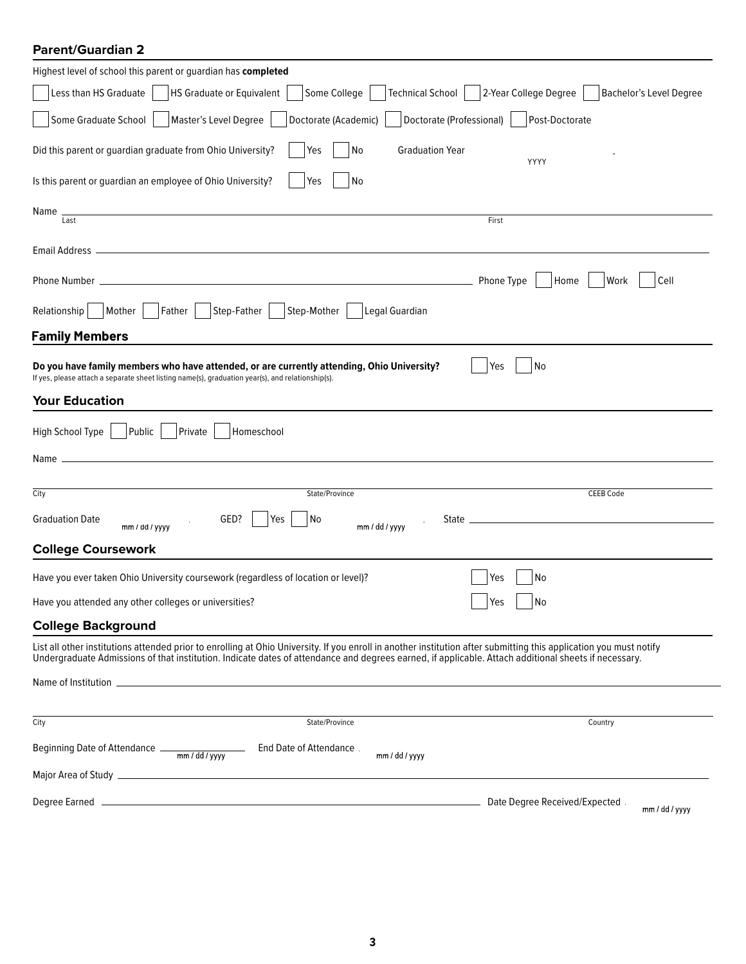| <b>Parent/Guardian 2</b>                                                                                                                                                                                                                                                                                                   |  |  |  |  |  |  |
|----------------------------------------------------------------------------------------------------------------------------------------------------------------------------------------------------------------------------------------------------------------------------------------------------------------------------|--|--|--|--|--|--|
| Highest level of school this parent or guardian has completed                                                                                                                                                                                                                                                              |  |  |  |  |  |  |
| Less than HS Graduate<br><b>HS Graduate or Equivalent</b><br>Technical School  <br>2-Year College Degree<br>Bachelor's Level Degree<br>Some College                                                                                                                                                                        |  |  |  |  |  |  |
| Some Graduate School<br>Master's Level Degree<br>Doctorate (Academic)<br>Doctorate (Professional)<br>Post-Doctorate                                                                                                                                                                                                        |  |  |  |  |  |  |
| Yes<br><b>Graduation Year</b><br>Did this parent or guardian graduate from Ohio University?<br>No<br>YYYY                                                                                                                                                                                                                  |  |  |  |  |  |  |
| Is this parent or guardian an employee of Ohio University?<br>Yes<br>No                                                                                                                                                                                                                                                    |  |  |  |  |  |  |
| Name<br>First<br>Last                                                                                                                                                                                                                                                                                                      |  |  |  |  |  |  |
|                                                                                                                                                                                                                                                                                                                            |  |  |  |  |  |  |
| Cell<br>Phone Type<br>Work<br>Phone Number _<br>Home                                                                                                                                                                                                                                                                       |  |  |  |  |  |  |
| Mother  <br>$ $ Father $ $<br>  Step-Father  <br>Step-Mother<br>Legal Guardian<br>Relationship                                                                                                                                                                                                                             |  |  |  |  |  |  |
| <b>Family Members</b>                                                                                                                                                                                                                                                                                                      |  |  |  |  |  |  |
| No<br>Do you have family members who have attended, or are currently attending, Ohio University?<br>Yes<br>If yes, please attach a separate sheet listing name(s), graduation year(s), and relationship(s).                                                                                                                |  |  |  |  |  |  |
| <b>Your Education</b>                                                                                                                                                                                                                                                                                                      |  |  |  |  |  |  |
| Public<br>Private<br>High School Type<br>Homeschool                                                                                                                                                                                                                                                                        |  |  |  |  |  |  |
|                                                                                                                                                                                                                                                                                                                            |  |  |  |  |  |  |
| City<br>State/Province<br><b>CEEB Code</b>                                                                                                                                                                                                                                                                                 |  |  |  |  |  |  |
|                                                                                                                                                                                                                                                                                                                            |  |  |  |  |  |  |
| GED?<br><b>Graduation Date</b><br>Yes<br>No<br>$mm$ / dd / yyyy<br>mm / dd / yyyy                                                                                                                                                                                                                                          |  |  |  |  |  |  |
| <b>College Coursework</b>                                                                                                                                                                                                                                                                                                  |  |  |  |  |  |  |
| Have you ever taken Ohio University coursework (regardless of location or level)?<br>Yes<br>No                                                                                                                                                                                                                             |  |  |  |  |  |  |
| Have you attended any other colleges or universities?<br>No<br>Yes                                                                                                                                                                                                                                                         |  |  |  |  |  |  |
| <b>College Background</b>                                                                                                                                                                                                                                                                                                  |  |  |  |  |  |  |
| List all other institutions attended prior to enrolling at Ohio University. If you enroll in another institution after submitting this application you must notify<br>Undergraduate Admissions of that institution. Indicate dates of attendance and degrees earned, if applicable. Attach additional sheets if necessary. |  |  |  |  |  |  |
|                                                                                                                                                                                                                                                                                                                            |  |  |  |  |  |  |
|                                                                                                                                                                                                                                                                                                                            |  |  |  |  |  |  |
| City<br>State/Province<br>Country                                                                                                                                                                                                                                                                                          |  |  |  |  |  |  |
| End Date of Attendance<br>mm / dd / yyyy                                                                                                                                                                                                                                                                                   |  |  |  |  |  |  |
|                                                                                                                                                                                                                                                                                                                            |  |  |  |  |  |  |
| Date Degree Received/Expected<br>mm / dd / yyyy                                                                                                                                                                                                                                                                            |  |  |  |  |  |  |